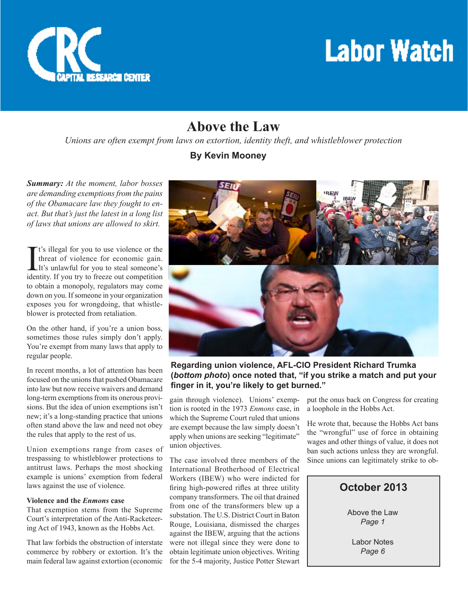

## **Labor Watch**

## **Above the Law**

*Unions are often exempt from laws on extortion, identity theft, and whistleblower protection*

#### **By Kevin Mooney**

*Summary: At the moment, labor bosses are demanding exemptions from the pains of the Obamacare law they fought to enact. But that's just the latest in a long list of laws that unions are allowed to skirt.* 

 $\prod$ <sup>t's</sup> illegal for you to use violence or the<br>threat of violence for economic gain.<br>It's unlawful for you to steal someone's<br>identity If you try to freeze out competition threat of violence for economic gain. It's unlawful for you to steal someone's identity. If you try to freeze out competition to obtain a monopoly, regulators may come down on you. If someone in your organization exposes you for wrongdoing, that whistleblower is protected from retaliation.

On the other hand, if you're a union boss, sometimes those rules simply don't apply. You're exempt from many laws that apply to regular people.

In recent months, a lot of attention has been focused on the unions that pushed Obamacare into law but now receive waivers and demand long-term exemptions from its onerous provisions. But the idea of union exemptions isn't new; it's a long-standing practice that unions often stand above the law and need not obey the rules that apply to the rest of us.

Union exemptions range from cases of trespassing to whistleblower protections to antitrust laws. Perhaps the most shocking example is unions' exemption from federal laws against the use of violence.

#### **Violence and the** *Enmons* **case**

That exemption stems from the Supreme Court's interpretation of the Anti-Racketeering Act of 1943, known as the Hobbs Act.

That law forbids the obstruction of interstate commerce by robbery or extortion. It's the main federal law against extortion (economic



**Regarding union violence, AFL-CIO President Richard Trumka (***bottom photo***) once noted that, "if you strike a match and put your finger in it, you're likely to get burned."**

gain through violence). Unions' exemption is rooted in the 1973 *Enmons* case, in which the Supreme Court ruled that unions are exempt because the law simply doesn't apply when unions are seeking "legitimate" union objectives.

The case involved three members of the International Brotherhood of Electrical Workers (IBEW) who were indicted for firing high-powered rifles at three utility company transformers. The oil that drained from one of the transformers blew up a substation. The U.S. District Court in Baton Rouge, Louisiana, dismissed the charges against the IBEW, arguing that the actions were not illegal since they were done to obtain legitimate union objectives. Writing for the 5-4 majority, Justice Potter Stewart

put the onus back on Congress for creating a loophole in the Hobbs Act.

He wrote that, because the Hobbs Act bans the "wrongful" use of force in obtaining wages and other things of value, it does not ban such actions unless they are wrongful. Since unions can legitimately strike to ob-

## **October 2013**

Above the Law *Page 1*

Labor Notes *Page 6*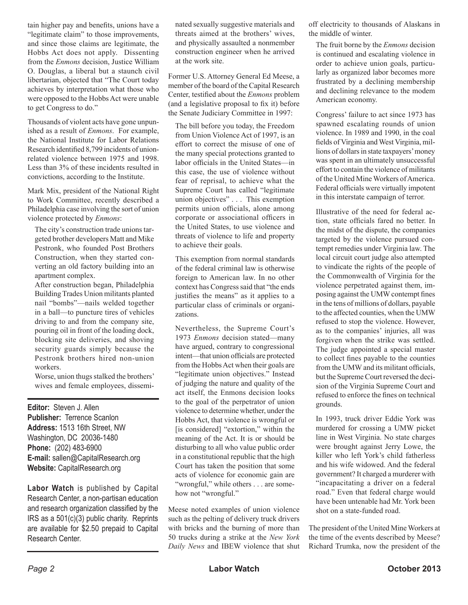tain higher pay and benefits, unions have a "legitimate claim" to those improvements, and since those claims are legitimate, the Hobbs Act does not apply. Dissenting from the *Enmons* decision, Justice William O. Douglas, a liberal but a staunch civil libertarian, objected that "The Court today achieves by interpretation what those who were opposed to the Hobbs Act were unable to get Congress to do."

Thousands of violent acts have gone unpunished as a result of *Enmons*. For example, the National Institute for Labor Relations Research identified 8,799 incidents of unionrelated violence between 1975 and 1998. Less than 3% of these incidents resulted in convictions, according to the Institute.

Mark Mix, president of the National Right to Work Committee, recently described a Philadelphia case involving the sort of union violence protected by *Enmons*:

The city's construction trade unions targeted brother developers Matt and Mike Pestronk, who founded Post Brothers Construction, when they started converting an old factory building into an apartment complex.

After construction began, Philadelphia Building Trades Union militants planted nail "bombs"—nails welded together in a ball—to puncture tires of vehicles driving to and from the company site, pouring oil in front of the loading dock, blocking site deliveries, and shoving security guards simply because the Pestronk brothers hired non-union workers.

Worse, union thugs stalked the brothers' wives and female employees, dissemi-

**Editor:** Steven J. Allen **Publisher:** Terrence Scanlon **Address:** 1513 16th Street, NW Washington, DC 20036-1480 **Phone:** (202) 483-6900 **E-mail:** sallen@CapitalResearch.org **Website:** CapitalResearch.org

**Labor Watch** is published by Capital Research Center, a non-partisan education and research organization classified by the IRS as a 501(c)(3) public charity. Reprints are available for \$2.50 prepaid to Capital Research Center.

nated sexually suggestive materials and threats aimed at the brothers' wives, and physically assaulted a nonmember construction engineer when he arrived at the work site.

Former U.S. Attorney General Ed Meese, a member of the board of the Capital Research Center, testified about the *Enmons* problem (and a legislative proposal to fix it) before the Senate Judiciary Committee in 1997:

The bill before you today, the Freedom from Union Violence Act of 1997, is an effort to correct the misuse of one of the many special protections granted to labor officials in the United States—in this case, the use of violence without fear of reprisal, to achieve what the Supreme Court has called "legitimate union objectives" . . . This exemption permits union officials, alone among corporate or associational officers in the United States, to use violence and threats of violence to life and property to achieve their goals.

This exemption from normal standards of the federal criminal law is otherwise foreign to American law. In no other context has Congress said that "the ends justifies the means" as it applies to a particular class of criminals or organizations.

Nevertheless, the Supreme Court's 1973 *Enmons* decision stated—many have argued, contrary to congressional intent—that union officials are protected from the Hobbs Act when their goals are "legitimate union objectives." Instead of judging the nature and quality of the act itself, the Enmons decision looks to the goal of the perpetrator of union violence to determine whether, under the Hobbs Act, that violence is wrongful or [is considered] "extortion," within the meaning of the Act. It is or should be disturbing to all who value public order in a constitutional republic that the high Court has taken the position that some acts of violence for economic gain are "wrongful," while others . . . are somehow not "wrongful."

Meese noted examples of union violence such as the pelting of delivery truck drivers with bricks and the burning of more than 50 trucks during a strike at the *New York Daily News* and IBEW violence that shut off electricity to thousands of Alaskans in the middle of winter.

The fruit borne by the *Enmons* decision is continued and escalating violence in order to achieve union goals, particularly as organized labor becomes more frustrated by a declining membership and declining relevance to the modem American economy.

Congress' failure to act since 1973 has spawned escalating rounds of union violence. In 1989 and 1990, in the coal fields of Virginia and West Virginia, millions of dollars in state taxpayers' money was spent in an ultimately unsuccessful effort to contain the violence of militants of the United Mine Workers of America. Federal officials were virtually impotent in this interstate campaign of terror.

Illustrative of the need for federal action, state officials fared no better. In the midst of the dispute, the companies targeted by the violence pursued contempt remedies under Virginia law. The local circuit court judge also attempted to vindicate the rights of the people of the Commonwealth of Virginia for the violence perpetrated against them, imposing against the UMW contempt fines in the tens of millions of dollars, payable to the affected counties, when the UMW refused to stop the violence. However, as to the companies' injuries, all was forgiven when the strike was settled. The judge appointed a special master to collect fines payable to the counties from the UMW and its militant officials, but the Supreme Court reversed the decision of the Virginia Supreme Court and refused to enforce the fines on technical grounds.

In 1993, truck driver Eddie York was murdered for crossing a UMW picket line in West Virginia. No state charges were brought against Jerry Lowe, the killer who left York's child fatherless and his wife widowed. And the federal government? It charged a murderer with "incapacitating a driver on a federal road." Even that federal charge would have been untenable had Mr. York been shot on a state-funded road.

The president of the United Mine Workers at the time of the events described by Meese? Richard Trumka, now the president of the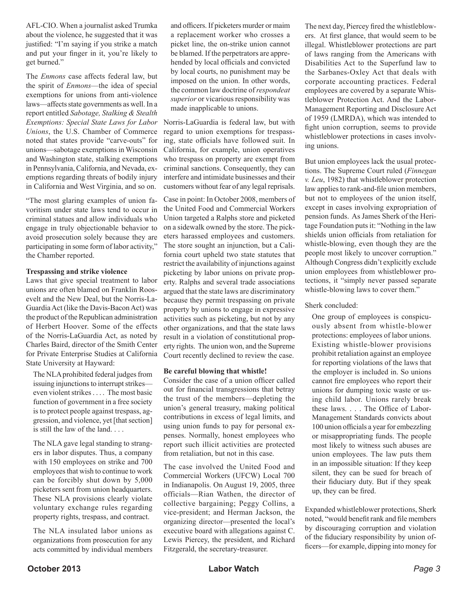AFL-CIO. When a journalist asked Trumka about the violence, he suggested that it was justified: "I'm saying if you strike a match and put your finger in it, you're likely to get burned."

The *Enmons* case affects federal law, but the spirit of *Enmons*—the idea of special exemptions for unions from anti-violence laws—affects state governments as well. In a report entitled *Sabotage, Stalking & Stealth Exemptions: Special State Laws for Labor Unions*, the U.S. Chamber of Commerce noted that states provide "carve-outs" for unions—sabotage exemptions in Wisconsin and Washington state, stalking exemptions in Pennsylvania, California, and Nevada, exemptions regarding threats of bodily injury in California and West Virginia, and so on.

"The most glaring examples of union favoritism under state laws tend to occur in criminal statues and allow individuals who engage in truly objectionable behavior to avoid prosecution solely because they are participating in some form of labor activity," the Chamber reported.

#### **Trespassing and strike violence**

Laws that give special treatment to labor unions are often blamed on Franklin Roosevelt and the New Deal, but the Norris-La-Guardia Act (like the Davis-Bacon Act) was the product of the Republican administration of Herbert Hoover. Some of the effects of the Norris-LaGuardia Act, as noted by Charles Baird, director of the Smith Center for Private Enterprise Studies at California State University at Hayward:

The NLA prohibited federal judges from issuing injunctions to interrupt strikes even violent strikes . . . . The most basic function of government in a free society is to protect people against trespass, aggression, and violence, yet [that section] is still the law of the land. . . .

The NLA gave legal standing to strangers in labor disputes. Thus, a company with 150 employees on strike and 700 employees that wish to continue to work can be forcibly shut down by 5,000 picketers sent from union headquarters. These NLA provisions clearly violate voluntary exchange rules regarding property rights, trespass, and contract.

The NLA insulated labor unions as organizations from prosecution for any acts committed by individual members and officers. If picketers murder or maim a replacement worker who crosses a picket line, the on-strike union cannot be blamed. If the perpetrators are apprehended by local officials and convicted by local courts, no punishment may be imposed on the union. In other words, the common law doctrine of *respondeat superior* or vicarious responsibility was made inapplicable to unions.

Norris-LaGuardia is federal law, but with regard to union exemptions for trespassing, state officials have followed suit. In California, for example, union operatives who trespass on property are exempt from criminal sanctions. Consequently, they can interfere and intimidate businesses and their customers without fear of any legal reprisals.

Case in point: In October 2008, members of the United Food and Commercial Workers Union targeted a Ralphs store and picketed on a sidewalk owned by the store. The picketers harassed employees and customers. The store sought an injunction, but a California court upheld two state statutes that restrict the availability of injunctions against picketing by labor unions on private property. Ralphs and several trade associations argued that the state laws are discriminatory because they permit trespassing on private property by unions to engage in expressive activities such as picketing, but not by any other organizations, and that the state laws result in a violation of constitutional property rights. The union won, and the Supreme Court recently declined to review the case.

#### **Be careful blowing that whistle!**

Consider the case of a union officer called out for financial transgressions that betray the trust of the members—depleting the union's general treasury, making political contributions in excess of legal limits, and using union funds to pay for personal expenses. Normally, honest employees who report such illicit activities are protected from retaliation, but not in this case.

The case involved the United Food and Commercial Workers (UFCW) Local 700 in Indianapolis. On August 19, 2005, three officials—Rian Wathen, the director of collective bargaining; Peggy Collins, a vice-president; and Herman Jackson, the organizing director—presented the local's executive board with allegations against C. Lewis Piercey, the president, and Richard Fitzgerald, the secretary-treasurer.

The next day, Piercey fired the whistleblowers. At first glance, that would seem to be illegal. Whistleblower protections are part of laws ranging from the Americans with Disabilities Act to the Superfund law to the Sarbanes-Oxley Act that deals with corporate accounting practices. Federal employees are covered by a separate Whistleblower Protection Act. And the Labor-Management Reporting and Disclosure Act of 1959 (LMRDA), which was intended to fight union corruption, seems to provide whistleblower protections in cases involving unions.

But union employees lack the usual protections. The Supreme Court ruled (*Finnegan v. Leu*, 1982) that whistleblower protection law applies to rank-and-file union members, but not to employees of the union itself, except in cases involving expropriation of pension funds. As James Sherk of the Heritage Foundation puts it: "Nothing in the law shields union officials from retaliation for whistle-blowing, even though they are the people most likely to uncover corruption." Although Congress didn't explicitly exclude union employees from whistleblower protections, it "simply never passed separate whistle-blowing laws to cover them."

#### Sherk concluded:

One group of employees is conspicuously absent from whistle-blower protections: employees of labor unions. Existing whistle-blower provisions prohibit retaliation against an employee for reporting violations of the laws that the employer is included in. So unions cannot fire employees who report their unions for dumping toxic waste or using child labor. Unions rarely break these laws. . . . The Office of Labor-Management Standards convicts about 100 union officials a year for embezzling or misappropriating funds. The people most likely to witness such abuses are union employees. The law puts them in an impossible situation: If they keep silent, they can be sued for breach of their fiduciary duty. But if they speak up, they can be fired.

Expanded whistleblower protections, Sherk noted, "would benefit rank and file members by discouraging corruption and violation of the fiduciary responsibility by union officers—for example, dipping into money for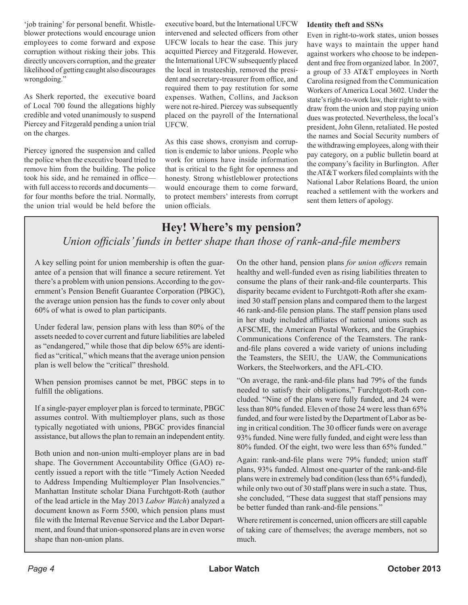'job training' for personal benefit. Whistleblower protections would encourage union employees to come forward and expose corruption without risking their jobs. This directly uncovers corruption, and the greater likelihood of getting caught also discourages wrongdoing."

As Sherk reported, the executive board of Local 700 found the allegations highly credible and voted unanimously to suspend Piercey and Fitzgerald pending a union trial on the charges.

Piercey ignored the suspension and called the police when the executive board tried to remove him from the building. The police took his side, and he remained in office with full access to records and documents for four months before the trial. Normally, the union trial would be held before the

executive board, but the International UFCW intervened and selected officers from other UFCW locals to hear the case. This jury acquitted Piercey and Fitzgerald. However, the International UFCW subsequently placed the local in trusteeship, removed the president and secretary-treasurer from office, and required them to pay restitution for some expenses. Wathen, Collins, and Jackson were not re-hired. Piercey was subsequently placed on the payroll of the International UFCW.

As this case shows, cronyism and corruption is endemic to labor unions. People who work for unions have inside information that is critical to the fight for openness and honesty. Strong whistleblower protections would encourage them to come forward, to protect members' interests from corrupt union officials.

#### **Identity theft and SSNs**

Even in right-to-work states, union bosses have ways to maintain the upper hand against workers who choose to be independent and free from organized labor. In 2007, a group of 33 AT&T employees in North Carolina resigned from the Communication Workers of America Local 3602. Under the state's right-to-work law, their right to withdraw from the union and stop paying union dues was protected. Nevertheless, the local's president, John Glenn, retaliated. He posted the names and Social Security numbers of the withdrawing employees, along with their pay category, on a public bulletin board at the company's facility in Burlington. After the AT&T workers filed complaints with the National Labor Relations Board, the union reached a settlement with the workers and sent them letters of apology.

### **Hey! Where's my pension?** *Union officials' funds in better shape than those of rank-and-file members*

A key selling point for union membership is often the guarantee of a pension that will finance a secure retirement. Yet there's a problem with union pensions. According to the government's Pension Benefit Guarantee Corporation (PBGC), the average union pension has the funds to cover only about 60% of what is owed to plan participants.

Under federal law, pension plans with less than 80% of the assets needed to cover current and future liabilities are labeled as "endangered," while those that dip below 65% are identified as "critical," which means that the average union pension plan is well below the "critical" threshold.

When pension promises cannot be met, PBGC steps in to fulfill the obligations.

If a single-payer employer plan is forced to terminate, PBGC assumes control. With multiemployer plans, such as those typically negotiated with unions, PBGC provides financial assistance, but allows the plan to remain an independent entity.

Both union and non-union multi-employer plans are in bad shape. The Government Accountability Office (GAO) recently issued a report with the title "Timely Action Needed to Address Impending Multiemployer Plan Insolvencies." Manhattan Institute scholar Diana Furchtgott-Roth (author of the lead article in the May 2013 *Labor Watch*) analyzed a document known as Form 5500, which pension plans must file with the Internal Revenue Service and the Labor Department, and found that union-sponsored plans are in even worse shape than non-union plans.

On the other hand, pension plans *for union officers* remain healthy and well-funded even as rising liabilities threaten to consume the plans of their rank-and-file counterparts. This disparity became evident to Furchtgott-Roth after she examined 30 staff pension plans and compared them to the largest 46 rank-and-file pension plans. The staff pension plans used in her study included affiliates of national unions such as AFSCME, the American Postal Workers, and the Graphics Communications Conference of the Teamsters. The rankand-file plans covered a wide variety of unions including the Teamsters, the SEIU, the UAW, the Communications Workers, the Steelworkers, and the AFL-CIO.

"On average, the rank-and-file plans had 79% of the funds needed to satisfy their obligations," Furchtgott-Roth concluded. "Nine of the plans were fully funded, and 24 were less than 80% funded. Eleven of those 24 were less than 65% funded, and four were listed by the Department of Labor as being in critical condition. The 30 officer funds were on average 93% funded. Nine were fully funded, and eight were less than 80% funded. Of the eight, two were less than 65% funded."

Again: rank-and-file plans were 79% funded; union staff plans, 93% funded. Almost one-quarter of the rank-and-file plans were in extremely bad condition (less than 65% funded), while only two out of 30 staff plans were in such a state. Thus, she concluded, "These data suggest that staff pensions may be better funded than rank-and-file pensions."

Where retirement is concerned, union officers are still capable of taking care of themselves; the average members, not so much.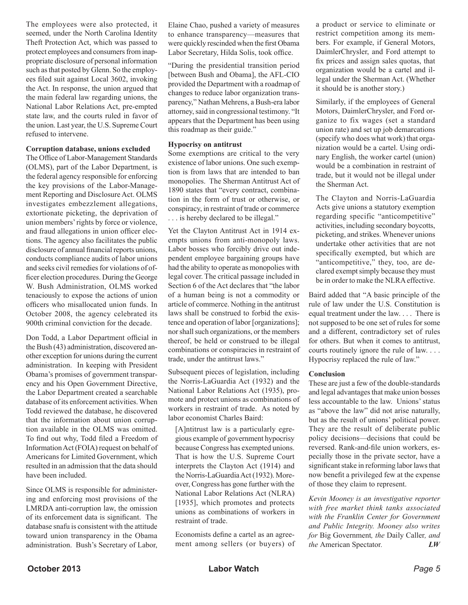The employees were also protected, it seemed, under the North Carolina Identity Theft Protection Act, which was passed to protect employees and consumers from inappropriate disclosure of personal information such as that posted by Glenn. So the employees filed suit against Local 3602, invoking the Act. In response, the union argued that the main federal law regarding unions, the National Labor Relations Act, pre-empted state law, and the courts ruled in favor of the union. Last year, the U.S. Supreme Court refused to intervene.

#### **Corruption database, unions excluded**

The Office of Labor-Management Standards (OLMS), part of the Labor Department, is the federal agency responsible for enforcing the key provisions of the Labor-Management Reporting and Disclosure Act. OLMS investigates embezzlement allegations, extortionate picketing, the deprivation of union members' rights by force or violence, and fraud allegations in union officer elections. The agency also facilitates the public disclosure of annual financial reports unions, conducts compliance audits of labor unions and seeks civil remedies for violations of officer election procedures. During the George W. Bush Administration, OLMS worked tenaciously to expose the actions of union officers who misallocated union funds. In October 2008, the agency celebrated its 900th criminal conviction for the decade.

Don Todd, a Labor Department official in the Bush (43) administration, discovered another exception for unions during the current administration. In keeping with President Obama's promises of government transparency and his Open Government Directive, the Labor Department created a searchable database of its enforcement activities. When Todd reviewed the database, he discovered that the information about union corruption available in the OLMS was omitted. To find out why, Todd filed a Freedom of Information Act (FOIA) request on behalf of Americans for Limited Government, which resulted in an admission that the data should have been included.

Since OLMS is responsible for administering and enforcing most provisions of the LMRDA anti-corruption law, the omission of its enforcement data is significant. The database snafu is consistent with the attitude toward union transparency in the Obama administration. Bush's Secretary of Labor, Elaine Chao, pushed a variety of measures to enhance transparency—measures that were quickly rescinded when the first Obama Labor Secretary, Hilda Solis, took office.

"During the presidential transition period [between Bush and Obama], the AFL-CIO provided the Department with a roadmap of changes to reduce labor organization transparency," Nathan Mehrens, a Bush-era labor attorney, said in congressional testimony. "It appears that the Department has been using this roadmap as their guide."

#### **Hypocrisy on antitrust**

Some exemptions are critical to the very existence of labor unions. One such exemption is from laws that are intended to ban monopolies. The Sherman Antitrust Act of 1890 states that "every contract, combination in the form of trust or otherwise, or conspiracy, in restraint of trade or commerce . . . is hereby declared to be illegal."

Yet the Clayton Antitrust Act in 1914 exempts unions from anti-monopoly laws. Labor bosses who forcibly drive out independent employee bargaining groups have had the ability to operate as monopolies with legal cover. The critical passage included in Section 6 of the Act declares that "the labor of a human being is not a commodity or article of commerce. Nothing in the antitrust laws shall be construed to forbid the existence and operation of labor [organizations]; nor shall such organizations, or the members thereof, be held or construed to be illegal combinations or conspiracies in restraint of trade, under the antitrust laws."

Subsequent pieces of legislation, including the Norris-LaGuardia Act (1932) and the National Labor Relations Act (1935), promote and protect unions as combinations of workers in restraint of trade. As noted by labor economist Charles Baird:

[A]ntitrust law is a particularly egregious example of government hypocrisy because Congress has exempted unions. That is how the U.S. Supreme Court interprets the Clayton Act (1914) and the Norris-LaGuardia Act (1932). Moreover, Congress has gone further with the National Labor Relations Act (NLRA) [1935], which promotes and protects unions as combinations of workers in restraint of trade.

Economists define a cartel as an agreement among sellers (or buyers) of a product or service to eliminate or restrict competition among its members. For example, if General Motors, DaimlerChrysler, and Ford attempt to fix prices and assign sales quotas, that organization would be a cartel and illegal under the Sherman Act. (Whether it should be is another story.)

Similarly, if the employees of General Motors, DaimlerChrysler, and Ford organize to fix wages (set a standard union rate) and set up job demarcations (specify who does what work) that organization would be a cartel. Using ordinary English, the worker cartel (union) would be a combination in restraint of trade, but it would not be illegal under the Sherman Act.

The Clayton and Norris-LaGuardia Acts give unions a statutory exemption regarding specific "anticompetitive" activities, including secondary boycotts, picketing, and strikes. Whenever unions undertake other activities that are not specifically exempted, but which are "anticompetitive," they, too, are declared exempt simply because they must be in order to make the NLRA effective.

Baird added that "A basic principle of the rule of law under the U.S. Constitution is equal treatment under the law. . . . There is not supposed to be one set of rules for some and a different, contradictory set of rules for others. But when it comes to antitrust, courts routinely ignore the rule of law. . . . Hypocrisy replaced the rule of law."

#### **Conclusion**

These are just a few of the double-standards and legal advantages that make union bosses less accountable to the law. Unions' status as "above the law" did not arise naturally, but as the result of unions' political power. They are the result of deliberate public policy decisions—decisions that could be reversed. Rank-and-file union workers, especially those in the private sector, have a significant stake in reforming labor laws that now benefit a privileged few at the expense of those they claim to represent.

*Kevin Mooney is an investigative reporter with free market think tanks associated with the Franklin Center for Government and Public Integrity. Mooney also writes for* Big Government*, the* Daily Caller*, and the* American Spectator*. LW*